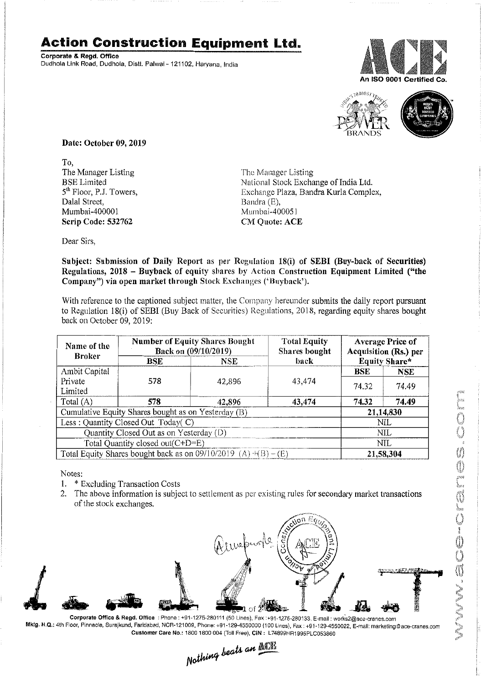## **Action Construction Equipment Ltd.**

Corporate & Regd. Office Dudhola Link Road, Dudhola, Distt. Palwal- 121102, Haryana, India





Date: October 09,2019

To, The Manager Listing BSE Limited 5<sup>th</sup> Floor, P.J. Towers, Dalal Street, Mumbai-400001 Scrip Code: 532762

The Manager Listing National Stock Exchange of India Ltd. Exchange Plaza, Bandra Kurla Complex, Bandra (E), Mumbai-400051 CM Quote: ACE

Dear Sirs,

Subject: Submission of Daily Report as per Regulation 18(i) of SEBI (Buy-back of Securities) Regulations, 2018 - Buyback of equity shares by Action Construction Equipment Limited ("the Company") via open market through Stock Exchanges ('Buyback').

With reference to the captioned subject matter, the Company hereunder submits the daily report pursuant to Regulation 18(i) of SEBI (Buy Back of Securities) Regulations, 2018, regarding equity shares bought back on October 09,2019:

| Name of the<br><b>Broker</b>                                        | <b>BSE</b> | <b>Number of Equity Shares Bought</b><br>Back on (09/10/2019)<br>NSE. | <b>Total Equity</b><br>Shares bought<br>back | <b>Average Price of</b><br>Acquisition (Rs.) per<br>Equity Share* |            |
|---------------------------------------------------------------------|------------|-----------------------------------------------------------------------|----------------------------------------------|-------------------------------------------------------------------|------------|
| Ambit Capital                                                       |            |                                                                       |                                              | BSE                                                               | <b>NSE</b> |
| Private                                                             | 578        | 42.896                                                                | 43,474                                       | 74.32                                                             | 74.49      |
| Limited                                                             |            |                                                                       |                                              |                                                                   |            |
| Total (A)                                                           | 578        | 42,896                                                                | 43,474                                       | 74.32                                                             | 74.49      |
| Cumulative Equity Shares bought as on Yesterday (B)                 |            |                                                                       |                                              | 21,14,830                                                         |            |
| Less: Quantity Closed Out Today(C)                                  |            |                                                                       |                                              | NIL.                                                              |            |
| Quantity Closed Out as on Yesterday (D)                             |            |                                                                       |                                              | <b>NIL</b>                                                        |            |
| Total Quantity closed out(C+D=E)                                    |            |                                                                       |                                              | NIL.                                                              |            |
| Total Equity Shares bought back as on $09/10/2019$ (A) $+(B) - (E)$ |            |                                                                       |                                              | 21,58,304                                                         |            |

Notes:

- 1. \* Excluding Transaction Costs
- 2. The above information is subject to settlement as per existing rules for secondary market transactions of the stock exchanges. .



Mktg. H.Q.: 4th Floor, Pinnacle, Surajkund, Faridabad, NCR-121009, Phone: +91-129-4550000 (100 Lines), Fax: +91-129-4550022, E-mail: marketing@ace-cranes.com

Customer Care No.: 1800 1800 004 (Toll Free). CIN: L74899HR1995PLC053860<br>
Mathima beats an **ACT**